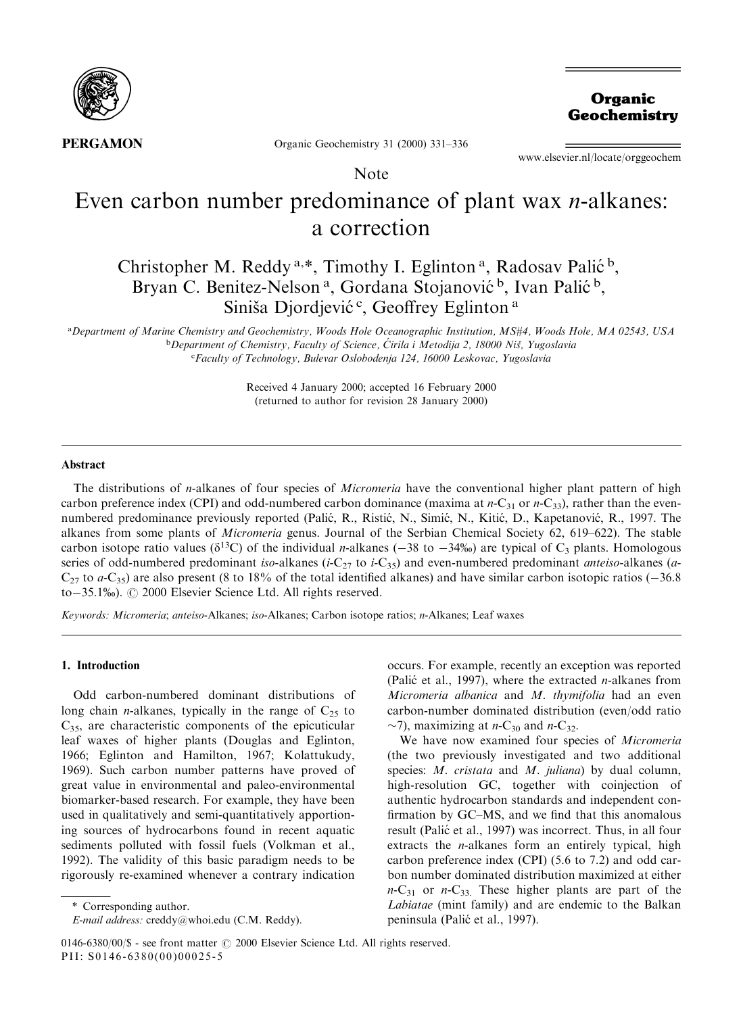

Organic Geochemistry

**PERGAMON** 

Organic Geochemistry 31 (2000) 331-336

Note

www.elsevier.nl/locate/orggeochem

# Even carbon number predominance of plant wax *n*-alkanes: a correction

# Christopher M. Reddy<sup>a,\*</sup>, Timothy I. Eglinton<sup>a</sup>, Radosav Palić<sup>b</sup>, Bryan C. Benitez-Nelson<sup>a</sup>, Gordana Stojanović<sup>b</sup>, Ivan Palić<sup>b</sup>, Siniša Djordjević<sup>c</sup>, Geoffrey Eglinton<sup>a</sup>

a Department of Marine Chemistry and Geochemistry, Woods Hole Oceanographic Institution, MS#4, Woods Hole, MA 02543, USA <sup>b</sup>Department of Chemistry, Faculty of Science, Cirila i Metodija 2, 18000 Niš, Yugoslavia c Faculty of Technology, Bulevar Oslobodenja 124, 16000 Leskovac, Yugoslavia

> Received 4 January 2000; accepted 16 February 2000 (returned to author for revision 28 January 2000)

#### Abstract

The distributions of *n*-alkanes of four species of *Micromeria* have the conventional higher plant pattern of high carbon preference index (CPI) and odd-numbered carbon dominance (maxima at  $n-C_{31}$  or  $n-C_{33}$ ), rather than the evennumbered predominance previously reported (Palić, R., Ristić, N., Simić, N., Kitić, D., Kapetanović, R., 1997. The alkanes from some plants of *Micromeria* genus. Journal of the Serbian Chemical Society 62, 619–622). The stable carbon isotope ratio values ( $\delta^{13}C$ ) of the individual *n*-alkanes ( $-38$  to  $-34\%$ ) are typical of C<sub>3</sub> plants. Homologous series of odd-numbered predominant iso-alkanes (i-C<sub>27</sub> to i-C<sub>35</sub>) and even-numbered predominant *anteiso-*alkanes (a- $C_{27}$  to a-C<sub>35</sub>) are also present (8 to 18% of the total identified alkanes) and have similar carbon isotopic ratios ( $-36.8$ ) to-35.1%).  $\odot$  2000 Elsevier Science Ltd. All rights reserved.

Keywords: Micromeria; anteiso-Alkanes; iso-Alkanes; Carbon isotope ratios; n-Alkanes; Leaf waxes

# 1. Introduction

Odd carbon-numbered dominant distributions of long chain *n*-alkanes, typically in the range of  $C_{25}$  to  $C_{35}$ , are characteristic components of the epicuticular leaf waxes of higher plants (Douglas and Eglinton, 1966; Eglinton and Hamilton, 1967; Kolattukudy, 1969). Such carbon number patterns have proved of great value in environmental and paleo-environmental biomarker-based research. For example, they have been used in qualitatively and semi-quantitatively apportioning sources of hydrocarbons found in recent aquatic sediments polluted with fossil fuels (Volkman et al., 1992). The validity of this basic paradigm needs to be rigorously re-examined whenever a contrary indication

occurs. For example, recently an exception was reported (Palić et al., 1997), where the extracted *n*-alkanes from Micromeria albanica and M. thymifolia had an even carbon-number dominated distribution (even/odd ratio  $\sim$ 7), maximizing at *n*-C<sub>30</sub> and *n*-C<sub>32</sub>.

We have now examined four species of Micromeria (the two previously investigated and two additional species: *M. cristata* and *M. juliana*) by dual column, high-resolution GC, together with coinjection of authentic hydrocarbon standards and independent con firmation by GC-MS, and we find that this anomalous result (Palić et al., 1997) was incorrect. Thus, in all four extracts the n-alkanes form an entirely typical, high carbon preference index (CPI) (5.6 to 7.2) and odd carbon number dominated distribution maximized at either  $n-C_{31}$  or  $n-C_{33}$ . These higher plants are part of the Labiatae (mint family) and are endemic to the Balkan peninsula (Palić et al., 1997).

<sup>\*</sup> Corresponding author.

E-mail address: creddy@whoi.edu (C.M. Reddy).

 $0146-6380/00/S$  - see front matter  $\odot$  2000 Elsevier Science Ltd. All rights reserved. PII: S0146-6380(00)00025-5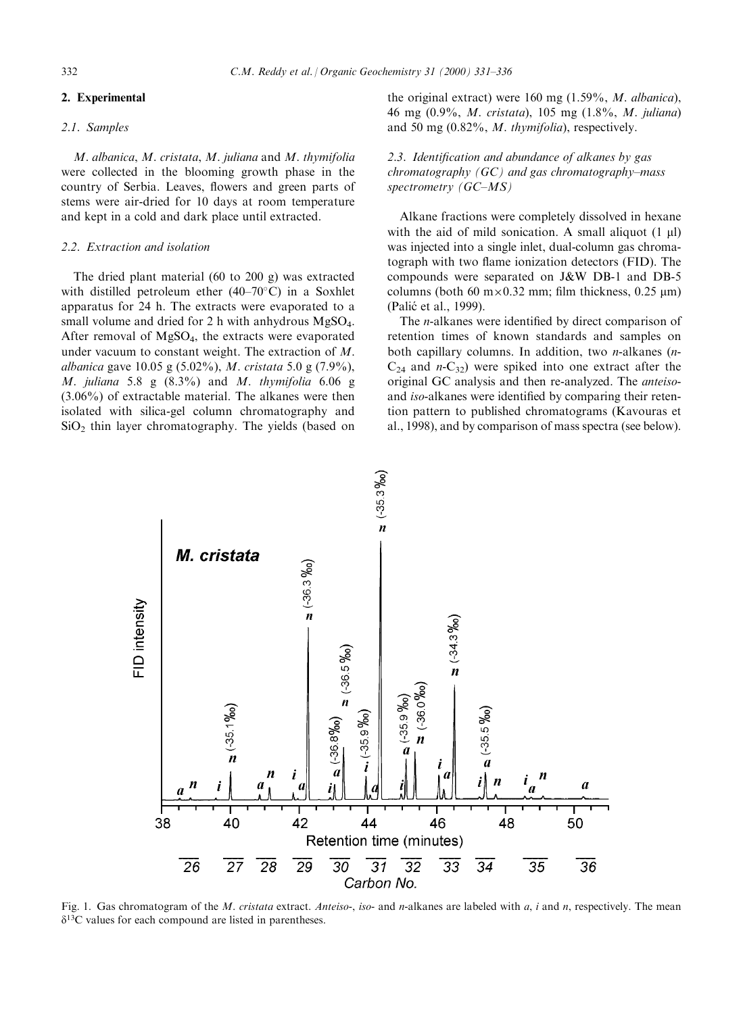# 2. Experimental

#### 2.1. Samples

M. albanica, M. cristata, M. juliana and M. thymifolia were collected in the blooming growth phase in the country of Serbia. Leaves, flowers and green parts of stems were air-dried for 10 days at room temperature and kept in a cold and dark place until extracted.

#### 2.2. Extraction and isolation

The dried plant material (60 to 200 g) was extracted with distilled petroleum ether  $(40-70^{\circ}C)$  in a Soxhlet apparatus for 24 h. The extracts were evaporated to a small volume and dried for 2 h with anhydrous MgSO<sub>4</sub>. After removal of  $MgSO<sub>4</sub>$ , the extracts were evaporated under vacuum to constant weight. The extraction of M. albanica gave 10.05 g (5.02%), M. cristata 5.0 g (7.9%), M. juliana 5.8 g  $(8.3\%)$  and M. thymifolia 6.06 g (3.06%) of extractable material. The alkanes were then isolated with silica-gel column chromatography and  $SiO<sub>2</sub>$  thin layer chromatography. The yields (based on

the original extract) were 160 mg (1.59%, M. albanica), 46 mg (0.9%, M. cristata), 105 mg (1.8%, M. juliana) and 50 mg (0.82%, M. thymifolia), respectively.

2.3. Identification and abundance of alkanes by gas chromatography  $(GC)$  and gas chromatography-mass spectrometry (GC-MS)

Alkane fractions were completely dissolved in hexane with the aid of mild sonication. A small aliquot  $(1 \mu l)$ was injected into a single inlet, dual-column gas chromatograph with two flame ionization detectors (FID). The compounds were separated on J&W DB-1 and DB-5 columns (both 60 m $\times$ 0.32 mm; film thickness, 0.25  $\mu$ m) (Palić et al., 1999).

The *n*-alkanes were identified by direct comparison of retention times of known standards and samples on both capillary columns. In addition, two n-alkanes (n- $C_{24}$  and  $n-C_{32}$ ) were spiked into one extract after the original GC analysis and then re-analyzed. The anteisoand iso-alkanes were identified by comparing their retention pattern to published chromatograms (Kavouras et al., 1998), and by comparison of mass spectra (see below).



Fig. 1. Gas chromatogram of the *M. cristata* extract. Anteiso-, iso- and n-alkanes are labeled with a, i and n, respectively. The mean  $\delta^{13}$ C values for each compound are listed in parentheses.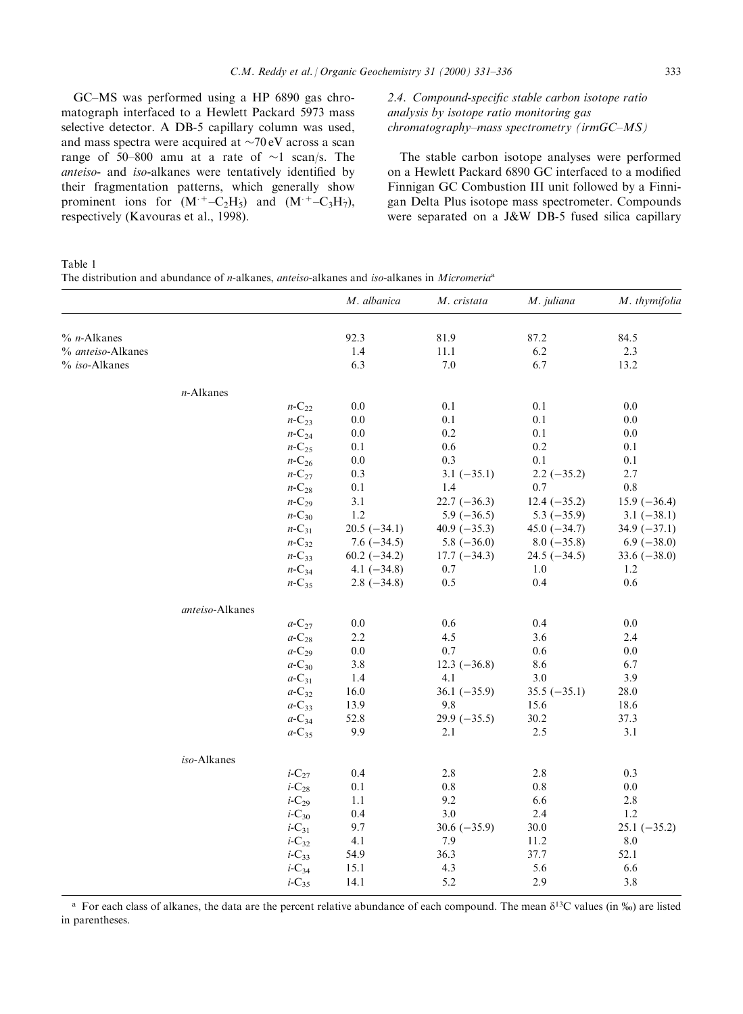GC-MS was performed using a HP 6890 gas chromatograph interfaced to a Hewlett Packard 5973 mass selective detector. A DB-5 capillary column was used, and mass spectra were acquired at  $\sim$ 70 eV across a scan range of 50-800 amu at a rate of  $\sim$ 1 scan/s. The anteiso- and iso-alkanes were tentatively identified by their fragmentation patterns, which generally show prominent ions for  $(M^+$ -C<sub>2</sub>H<sub>5</sub>) and  $(M^+$ -C<sub>3</sub>H<sub>7</sub>), respectively (Kavouras et al., 1998).

# 2.4. Compound-specific stable carbon isotope ratio analysis by isotope ratio monitoring gas  $chromatography-mass spectrumetry (irmGC-MS)$

The stable carbon isotope analyses were performed on a Hewlett Packard 6890 GC interfaced to a modified Finnigan GC Combustion III unit followed by a Finnigan Delta Plus isotope mass spectrometer. Compounds were separated on a J&W DB-5 fused silica capillary

Table 1

The distribution and abundance of *n*-alkanes, *anteiso*-alkanes and *iso*-alkanes in *Micromeria*<sup>a</sup>

|                       |                 |                      | M. albanica    | M. cristata    | M. juliana     | M. thymifolia     |
|-----------------------|-----------------|----------------------|----------------|----------------|----------------|-------------------|
| $%$ <i>n</i> -Alkanes |                 |                      | 92.3           | 81.9           | 87.2           | 84.5              |
| % anteiso-Alkanes     |                 |                      | 1.4            | 11.1           | 6.2            | 2.3               |
| % iso-Alkanes         |                 |                      | 6.3            | 7.0            | 6.7            | 13.2              |
|                       | $n$ -Alkanes    |                      |                |                |                |                   |
|                       |                 | $n$ -C <sub>22</sub> | 0.0            | 0.1            | 0.1            | 0.0               |
|                       |                 | $n$ -C <sub>23</sub> | $0.0\,$        | 0.1            | 0.1            | 0.0               |
|                       |                 | $n$ -C <sub>24</sub> | 0.0            | 0.2            | 0.1            | 0.0               |
|                       |                 | $n$ -C <sub>25</sub> | 0.1            | 0.6            | 0.2            | 0.1               |
|                       |                 | $n-C_{26}$           | $0.0\,$        | 0.3            | 0.1            | 0.1               |
|                       |                 | $n$ -C <sub>27</sub> | 0.3            | $3.1 (-35.1)$  | $2.2 (-35.2)$  | 2.7               |
|                       |                 | $n-C_{28}$           | 0.1            | 1.4            | 0.7            | 0.8               |
|                       |                 | $n$ -C <sub>29</sub> | 3.1            | $22.7(-36.3)$  | $12.4 (-35.2)$ | $15.9(-36.4)$     |
|                       |                 | $n-C_{30}$           | 1.2            | $5.9(-36.5)$   | $5.3(-35.9)$   | $3.1 (-38.1)$     |
|                       |                 | $n$ -C <sub>31</sub> | $20.5(-34.1)$  | 40.9 $(-35.3)$ | $45.0 (-34.7)$ | $34.9(-37.1)$     |
|                       |                 | $n$ -C <sub>32</sub> | $7.6(-34.5)$   | $5.8(-36.0)$   | $8.0 (-35.8)$  | $6.9$ ( $-38.0$ ) |
|                       |                 | $n$ -C <sub>33</sub> | $60.2 (-34.2)$ | $17.7 (-34.3)$ | $24.5 (-34.5)$ | $33.6 (-38.0)$    |
|                       |                 | $n$ -C <sub>34</sub> | 4.1 $(-34.8)$  | 0.7            | 1.0            | 1.2               |
|                       |                 | $n-C_{35}$           | $2.8(-34.8)$   | 0.5            | 0.4            | 0.6               |
|                       | anteiso-Alkanes |                      |                |                |                |                   |
|                       |                 | $a$ -C <sub>27</sub> | $0.0\,$        | 0.6            | 0.4            | $0.0\,$           |
|                       |                 | $a$ -C <sub>28</sub> | 2.2            | 4.5            | 3.6            | 2.4               |
|                       |                 | $a$ -C <sub>29</sub> | $0.0\,$        | 0.7            | 0.6            | 0.0               |
|                       |                 | $a$ -C <sub>30</sub> | 3.8            | $12.3 (-36.8)$ | 8.6            | 6.7               |
|                       |                 | $a$ -C <sub>31</sub> | 1.4            | 4.1            | 3.0            | 3.9               |
|                       |                 | $a$ -C <sub>32</sub> | 16.0           | $36.1 (-35.9)$ | $35.5(-35.1)$  | 28.0              |
|                       |                 | $a$ -C <sub>33</sub> | 13.9           | 9.8            | 15.6           | 18.6              |
|                       |                 | $a$ -C <sub>34</sub> | 52.8           | $29.9(-35.5)$  | 30.2           | 37.3              |
|                       |                 | $a$ -C <sub>35</sub> | 9.9            | 2.1            | 2.5            | 3.1               |
|                       | iso-Alkanes     |                      |                |                |                |                   |
|                       |                 | $i$ -C <sub>27</sub> | 0.4            | 2.8            | 2.8            | 0.3               |
|                       |                 | $i$ -C <sub>28</sub> | 0.1            | $0.8\,$        | 0.8            | 0.0               |
|                       |                 | $i$ -C <sub>29</sub> | 1.1            | 9.2            | 6.6            | 2.8               |
|                       |                 | $i$ -C <sub>30</sub> | 0.4            | 3.0            | 2.4            | 1.2               |
|                       |                 | $i$ -C <sub>31</sub> | 9.7            | 30.6 $(-35.9)$ | 30.0           | $25.1 (-35.2)$    |
|                       |                 | $i$ -C <sub>32</sub> | 4.1            | 7.9            | 11.2           | 8.0               |
|                       |                 | $i$ -C <sub>33</sub> | 54.9           | 36.3           | 37.7           | 52.1              |
|                       |                 | $i$ -C <sub>34</sub> | 15.1           | 4.3            | 5.6            | 6.6               |
|                       |                 | $i$ -C <sub>35</sub> | 14.1           | 5.2            | 2.9            | 3.8               |

<sup>a</sup> For each class of alkanes, the data are the percent relative abundance of each compound. The mean  $\delta^{13}C$  values (in ‰) are listed in parentheses.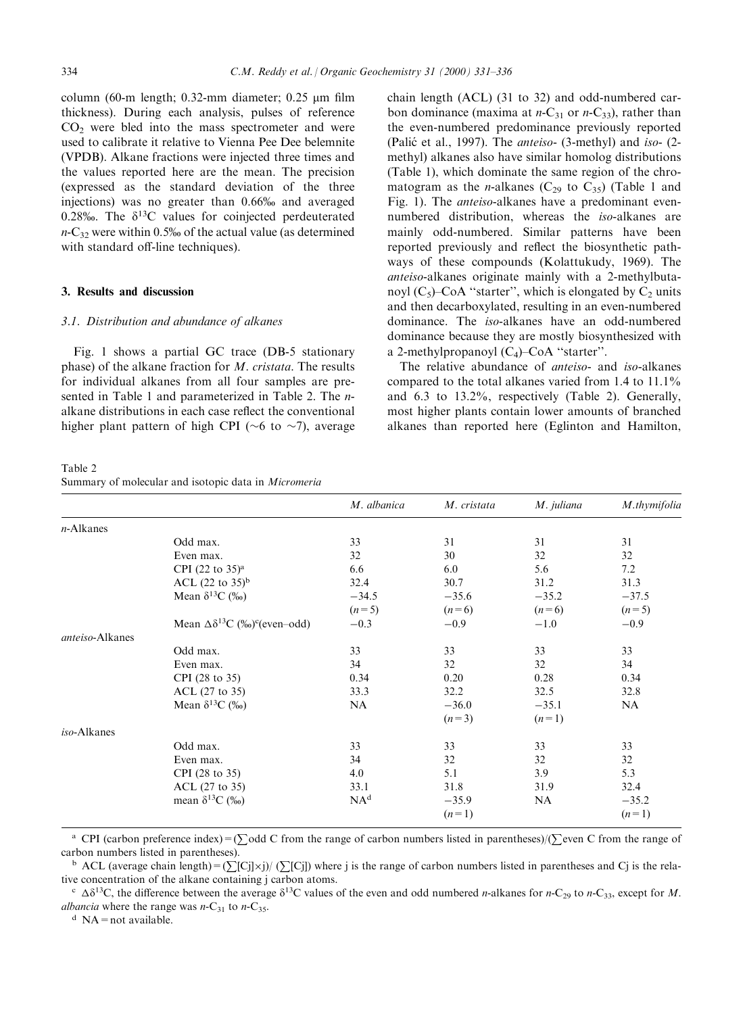column (60-m length; 0.32-mm diameter; 0.25  $\mu$ m film thickness). During each analysis, pulses of reference  $CO<sub>2</sub>$  were bled into the mass spectrometer and were used to calibrate it relative to Vienna Pee Dee belemnite (VPDB). Alkane fractions were injected three times and the values reported here are the mean. The precision (expressed as the standard deviation of the three injections) was no greater than 0.66% and averaged 0.28‰. The  $\delta^{13}C$  values for coinjected perdeuterated  $n-C_{32}$  were within 0.5% of the actual value (as determined with standard off-line techniques).

# 3. Results and discussion

# 3.1. Distribution and abundance of alkanes

Fig. 1 shows a partial GC trace (DB-5 stationary phase) of the alkane fraction for M. cristata. The results for individual alkanes from all four samples are presented in Table 1 and parameterized in Table 2. The nalkane distributions in each case reflect the conventional higher plant pattern of high CPI ( $\sim$ 6 to  $\sim$ 7), average

Table 2 Summary of molecular and isotopic data in Micromeria

chain length (ACL) (31 to 32) and odd-numbered carbon dominance (maxima at  $n-C_{31}$  or  $n-C_{33}$ ), rather than the even-numbered predominance previously reported (Palić et al., 1997). The *anteiso*- (3-methyl) and *iso-* (2methyl) alkanes also have similar homolog distributions (Table 1), which dominate the same region of the chromatogram as the *n*-alkanes ( $C_{29}$  to  $C_{35}$ ) (Table 1 and Fig. 1). The anteiso-alkanes have a predominant evennumbered distribution, whereas the iso-alkanes are mainly odd-numbered. Similar patterns have been reported previously and reflect the biosynthetic pathways of these compounds (Kolattukudy, 1969). The anteiso-alkanes originate mainly with a 2-methylbutanoyl  $(C_5)$ -CoA "starter", which is elongated by  $C_2$  units and then decarboxylated, resulting in an even-numbered dominance. The iso-alkanes have an odd-numbered dominance because they are mostly biosynthesized with a 2-methylpropanoyl  $(C_4)$ -CoA "starter".

The relative abundance of anteiso- and iso-alkanes compared to the total alkanes varied from 1.4 to 11.1% and 6.3 to 13.2%, respectively (Table 2). Generally, most higher plants contain lower amounts of branched alkanes than reported here (Eglinton and Hamilton,

|                 |                                                         | M. albanica     | M. cristata | M. juliana | M.thymifolia |
|-----------------|---------------------------------------------------------|-----------------|-------------|------------|--------------|
| $n$ -Alkanes    |                                                         |                 |             |            |              |
|                 | Odd max.                                                | 33              | 31          | 31         | 31           |
|                 | Even max.                                               | 32              | 30          | 32         | 32           |
|                 | CPI (22 to $35)$ <sup>a</sup>                           | 6.6             | 6.0         | 5.6        | 7.2          |
|                 | ACL $(22 \text{ to } 35)^b$                             | 32.4            | 30.7        | 31.2       | 31.3         |
|                 | Mean $\delta^{13}C$ (‰)                                 | $-34.5$         | $-35.6$     | $-35.2$    | $-37.5$      |
|                 |                                                         | $(n=5)$         | $(n=6)$     | $(n=6)$    | $(n=5)$      |
|                 | Mean $\Delta \delta^{13}C$ (%o) <sup>c</sup> (even-odd) | $-0.3$          | $-0.9$      | $-1.0$     | $-0.9$       |
| anteiso-Alkanes |                                                         |                 |             |            |              |
|                 | Odd max.                                                | 33              | 33          | 33         | 33           |
|                 | Even max.                                               | 34              | 32          | 32         | 34           |
|                 | CPI (28 to 35)                                          | 0.34            | 0.20        | 0.28       | 0.34         |
|                 | $ACL$ (27 to 35)                                        | 33.3            | 32.2        | 32.5       | 32.8         |
|                 | Mean $\delta^{13}C$ (%)                                 | NA              | $-36.0$     | $-35.1$    | <b>NA</b>    |
|                 |                                                         |                 | $(n=3)$     | $(n=1)$    |              |
| iso-Alkanes     |                                                         |                 |             |            |              |
|                 | Odd max.                                                | 33              | 33          | 33         | 33           |
|                 | Even max.                                               | 34              | 32          | 32         | 32           |
|                 | CPI (28 to 35)                                          | 4.0             | 5.1         | 3.9        | 5.3          |
|                 | $ACL$ (27 to 35)                                        | 33.1            | 31.8        | 31.9       | 32.4         |
|                 | mean $\delta^{13}C$ (%)                                 | NA <sup>d</sup> | $-35.9$     | NA         | $-35.2$      |
|                 |                                                         |                 | $(n=1)$     |            | $(n=1)$      |

<sup>a</sup> CPI (carbon preference index)=( $\sum$ odd C from the range of carbon numbers listed in parentheses)/( $\sum$ even C from the range of carbon numbers listed in parentheses).

<sup>b</sup> ACL (average chain length) =  $(\sum [C_j] \times j) / (\sum [C_j])$  where j is the range of carbon numbers listed in parentheses and Cj is the relative concentration of the alkane containing j carbon atoms.

<sup>c</sup>  $\Delta\delta^{13}$ C, the difference between the average  $\delta^{13}$ C values of the even and odd numbered *n*-alkanes for *n*-C<sub>29</sub> to *n*-C<sub>33</sub>, except for *M*. albancia where the range was  $n-C_{31}$  to  $n-C_{35}$ .<br><sup>d</sup> NA = not available.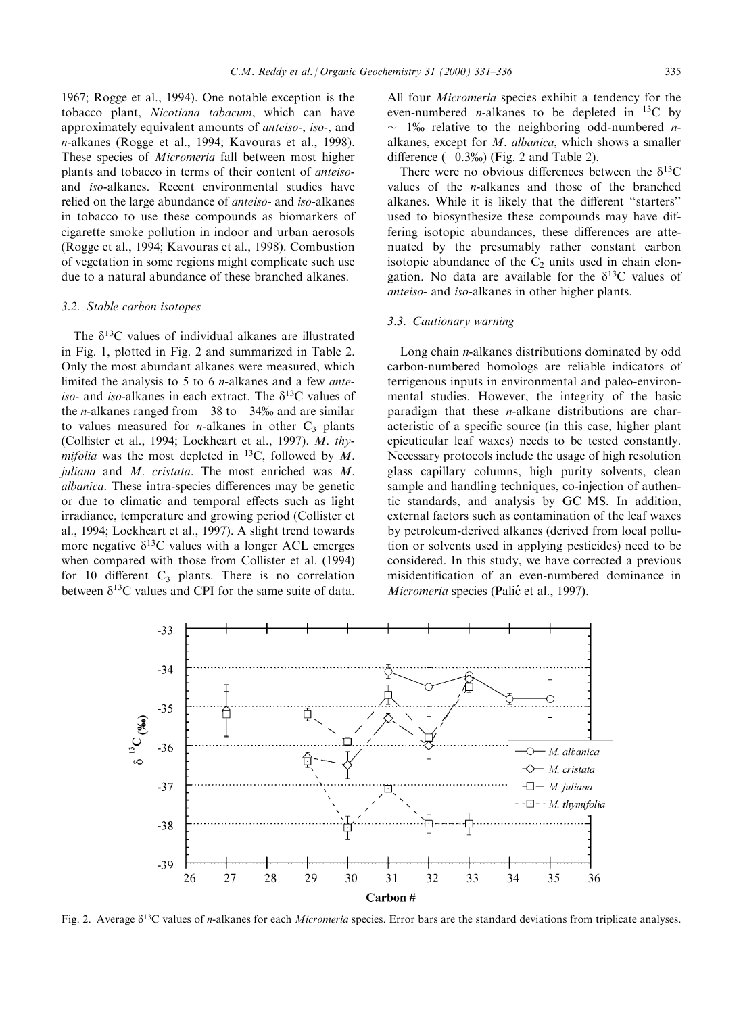1967; Rogge et al., 1994). One notable exception is the tobacco plant, Nicotiana tabacum, which can have approximately equivalent amounts of anteiso-, iso-, and n-alkanes (Rogge et al., 1994; Kavouras et al., 1998). These species of Micromeria fall between most higher plants and tobacco in terms of their content of anteisoand iso-alkanes. Recent environmental studies have relied on the large abundance of anteiso- and iso-alkanes in tobacco to use these compounds as biomarkers of cigarette smoke pollution in indoor and urban aerosols (Rogge et al., 1994; Kavouras et al., 1998). Combustion of vegetation in some regions might complicate such use due to a natural abundance of these branched alkanes.

#### 3.2. Stable carbon isotopes

The  $\delta^{13}$ C values of individual alkanes are illustrated in Fig. 1, plotted in Fig. 2 and summarized in Table 2. Only the most abundant alkanes were measured, which limited the analysis to 5 to 6 n-alkanes and a few anteiso- and iso-alkanes in each extract. The  $\delta^{13}$ C values of the *n*-alkanes ranged from  $-38$  to  $-34\%$  and are similar to values measured for *n*-alkanes in other  $C_3$  plants (Collister et al., 1994; Lockheart et al., 1997). M. thymifolia was the most depleted in  $^{13}C$ , followed by M. juliana and  $M$ . cristata. The most enriched was  $M$ . albanica. These intra-species differences may be genetic or due to climatic and temporal effects such as light irradiance, temperature and growing period (Collister et al., 1994; Lockheart et al., 1997). A slight trend towards more negative  $\delta^{13}$ C values with a longer ACL emerges when compared with those from Collister et al. (1994) for 10 different  $C_3$  plants. There is no correlation between  $\delta^{13}$ C values and CPI for the same suite of data.

All four Micromeria species exhibit a tendency for the even-numbered *n*-alkanes to be depleted in  $^{13}C$  by  $\sim$ -1% relative to the neighboring odd-numbered *n*alkanes, except for M. albanica, which shows a smaller difference  $(-0.3\%)$  (Fig. 2 and Table 2).

There were no obvious differences between the  $\delta^{13}C$ values of the n-alkanes and those of the branched alkanes. While it is likely that the different "starters" used to biosynthesize these compounds may have differing isotopic abundances, these differences are attenuated by the presumably rather constant carbon isotopic abundance of the  $C_2$  units used in chain elongation. No data are available for the  $\delta^{13}$ C values of anteiso- and iso-alkanes in other higher plants.

#### 3.3. Cautionary warning

Long chain n-alkanes distributions dominated by odd carbon-numbered homologs are reliable indicators of terrigenous inputs in environmental and paleo-environmental studies. However, the integrity of the basic paradigm that these n-alkane distributions are characteristic of a specific source (in this case, higher plant epicuticular leaf waxes) needs to be tested constantly. Necessary protocols include the usage of high resolution glass capillary columns, high purity solvents, clean sample and handling techniques, co-injection of authentic standards, and analysis by GC-MS. In addition, external factors such as contamination of the leaf waxes by petroleum-derived alkanes (derived from local pollution or solvents used in applying pesticides) need to be considered. In this study, we have corrected a previous misidentification of an even-numbered dominance in Micromeria species (Palić et al., 1997).



Fig. 2. Average  $\delta^{13}C$  values of *n*-alkanes for each *Micromeria* species. Error bars are the standard deviations from triplicate analyses.